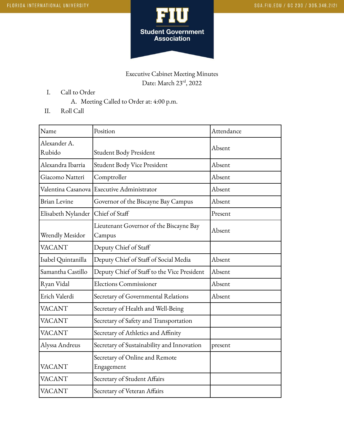

## Executive Cabinet Meeting Minutes Date: March 23<sup>rd</sup>, 2022

- I. Call to Order
	- A. Meeting Called to Order at: 4:00 p.m.
- II. Roll Call

| Name                   | Position                                          | Attendance |
|------------------------|---------------------------------------------------|------------|
| Alexander A.<br>Rubido | Student Body President                            | Absent     |
| Alexandra Ibarria      | Student Body Vice President                       | Absent     |
| Giacomo Natteri        | Comptroller                                       | Absent     |
|                        | Valentina Casanova Executive Administrator        | Absent     |
| <b>Brian Levine</b>    | Governor of the Biscayne Bay Campus               | Absent     |
| Elisabeth Nylander     | Chief of Staff                                    | Present    |
| Wrendly Mesidor        | Lieutenant Governor of the Biscayne Bay<br>Campus | Absent     |
| <b>VACANT</b>          | Deputy Chief of Staff                             |            |
| Isabel Quintanilla     | Deputy Chief of Staff of Social Media             | Absent     |
| Samantha Castillo      | Deputy Chief of Staff to the Vice President       | Absent     |
| Ryan Vidal             | <b>Elections Commissioner</b>                     | Absent     |
| Erich Valerdi          | Secretary of Governmental Relations               | Absent     |
| <b>VACANT</b>          | Secretary of Health and Well-Being                |            |
| <b>VACANT</b>          | Secretary of Safety and Transportation            |            |
| <b>VACANT</b>          | Secretary of Athletics and Affinity               |            |
| Alyssa Andreus         | Secretary of Sustainability and Innovation        | present    |
| <b>VACANT</b>          | Secretary of Online and Remote<br>Engagement      |            |
| <b>VACANT</b>          | Secretary of Student Affairs                      |            |
| <b>VACANT</b>          | Secretary of Veteran Affairs                      |            |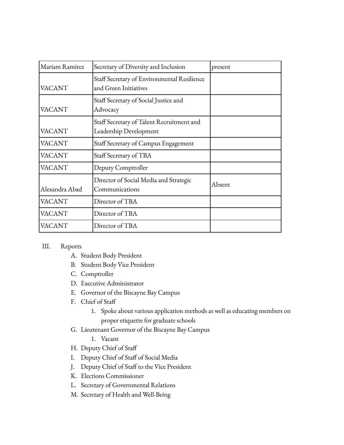| Mariam Ramirez | Secretary of Diversity and Inclusion                                 | present |
|----------------|----------------------------------------------------------------------|---------|
| VACANT         | Staff Secretary of Environmental Resilience<br>and Green Initiatives |         |
| VACANT         | Staff Secretary of Social Justice and<br>Advocacy                    |         |
| VACANT         | Staff Secretary of Talent Recruitment and<br>Leadership Development  |         |
| VACANT         | Staff Secretary of Campus Engagement                                 |         |
| VACANT         | Staff Secretary of TBA                                               |         |
| VACANT         | Deputy Comptroller                                                   |         |
| Alexandra Abad | Director of Social Media and Strategic<br>Communications             | Absent  |
| VACANT         | Director of TBA                                                      |         |
| VACANT         | Director of TBA                                                      |         |
| VACANT         | Director of TBA                                                      |         |

## III. Reports

- A. Student Body President
- B. Student Body Vice President
- C. Comptroller
- D. Executive Administrator
- E. Governor of the Biscayne Bay Campus
- F. Chief of Staff
	- 1. Spoke about various application methods as well as educating members on proper etiquette for graduate schools
- G. Lieutenant Governor of the Biscayne Bay Campus
	- 1. Vacant
- H. Deputy Chief of Staff
- I. Deputy Chief of Staff of Social Media
- J. Deputy Chief of Staff to the Vice President
- K. Elections Commissioner
- L. Secretary of Governmental Relations
- M. Secretary of Health and Well-Being